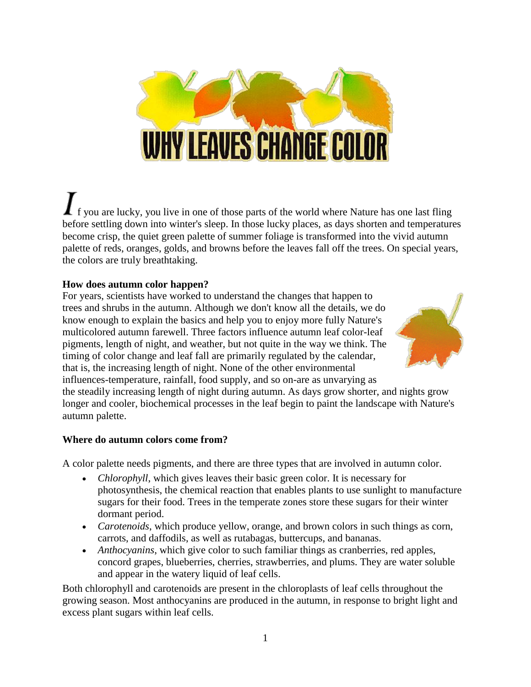

 $\mathbf{f}$  f you are lucky, you live in one of those parts of the world where Nature has one last fling before settling down into winter's sleep. In those lucky places, as days shorten and temperatures become crisp, the quiet green palette of summer foliage is transformed into the vivid autumn palette of reds, oranges, golds, and browns before the leaves fall off the trees. On special years, the colors are truly breathtaking.

## **How does autumn color happen?**

For years, scientists have worked to understand the changes that happen to trees and shrubs in the autumn. Although we don't know all the details, we do know enough to explain the basics and help you to enjoy more fully Nature's multicolored autumn farewell. Three factors influence autumn leaf color-leaf pigments, length of night, and weather, but not quite in the way we think. The timing of color change and leaf fall are primarily regulated by the calendar, that is, the increasing length of night. None of the other environmental influences-temperature, rainfall, food supply, and so on-are as unvarying as



the steadily increasing length of night during autumn. As days grow shorter, and nights grow longer and cooler, biochemical processes in the leaf begin to paint the landscape with Nature's autumn palette.

## **Where do autumn colors come from?**

A color palette needs pigments, and there are three types that are involved in autumn color.

- *Chlorophyll*, which gives leaves their basic green color. It is necessary for photosynthesis, the chemical reaction that enables plants to use sunlight to manufacture sugars for their food. Trees in the temperate zones store these sugars for their winter dormant period.
- *Carotenoids*, which produce yellow, orange, and brown colors in such things as corn, carrots, and daffodils, as well as rutabagas, buttercups, and bananas.
- *Anthocyanins*, which give color to such familiar things as cranberries, red apples, concord grapes, blueberries, cherries, strawberries, and plums. They are water soluble and appear in the watery liquid of leaf cells.

Both chlorophyll and carotenoids are present in the chloroplasts of leaf cells throughout the growing season. Most anthocyanins are produced in the autumn, in response to bright light and excess plant sugars within leaf cells.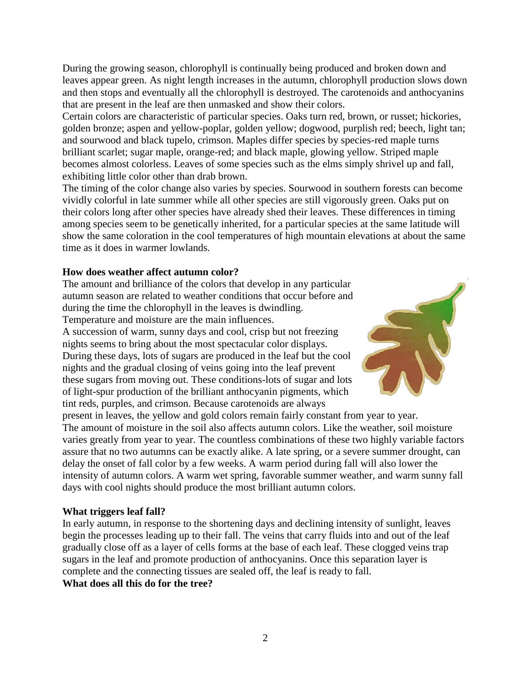During the growing season, chlorophyll is continually being produced and broken down and leaves appear green. As night length increases in the autumn, chlorophyll production slows down and then stops and eventually all the chlorophyll is destroyed. The carotenoids and anthocyanins that are present in the leaf are then unmasked and show their colors.

Certain colors are characteristic of particular species. Oaks turn red, brown, or russet; hickories, golden bronze; aspen and yellow-poplar, golden yellow; dogwood, purplish red; beech, light tan; and sourwood and black tupelo, crimson. Maples differ species by species-red maple turns brilliant scarlet; sugar maple, orange-red; and black maple, glowing yellow. Striped maple becomes almost colorless. Leaves of some species such as the elms simply shrivel up and fall, exhibiting little color other than drab brown.

The timing of the color change also varies by species. Sourwood in southern forests can become vividly colorful in late summer while all other species are still vigorously green. Oaks put on their colors long after other species have already shed their leaves. These differences in timing among species seem to be genetically inherited, for a particular species at the same latitude will show the same coloration in the cool temperatures of high mountain elevations at about the same time as it does in warmer lowlands.

## **How does weather affect autumn color?**

The amount and brilliance of the colors that develop in any particular autumn season are related to weather conditions that occur before and during the time the chlorophyll in the leaves is dwindling. Temperature and moisture are the main influences.

A succession of warm, sunny days and cool, crisp but not freezing nights seems to bring about the most spectacular color displays. During these days, lots of sugars are produced in the leaf but the cool nights and the gradual closing of veins going into the leaf prevent these sugars from moving out. These conditions-lots of sugar and lots of light-spur production of the brilliant anthocyanin pigments, which tint reds, purples, and crimson. Because carotenoids are always



present in leaves, the yellow and gold colors remain fairly constant from year to year. The amount of moisture in the soil also affects autumn colors. Like the weather, soil moisture varies greatly from year to year. The countless combinations of these two highly variable factors assure that no two autumns can be exactly alike. A late spring, or a severe summer drought, can delay the onset of fall color by a few weeks. A warm period during fall will also lower the intensity of autumn colors. A warm wet spring, favorable summer weather, and warm sunny fall days with cool nights should produce the most brilliant autumn colors.

## **What triggers leaf fall?**

In early autumn, in response to the shortening days and declining intensity of sunlight, leaves begin the processes leading up to their fall. The veins that carry fluids into and out of the leaf gradually close off as a layer of cells forms at the base of each leaf. These clogged veins trap sugars in the leaf and promote production of anthocyanins. Once this separation layer is complete and the connecting tissues are sealed off, the leaf is ready to fall. **What does all this do for the tree?**